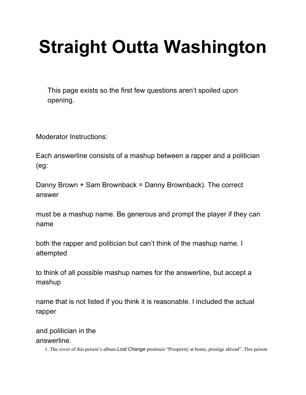## **Straight Outta Washington**

This page exists so the first few questions aren't spoiled upon opening.

Moderator Instructions:

Each answerline consists of a mashup between a rapper and a politician (eg:

Danny Brown + Sam Brownback = Danny Brownback). The correct answer

must be a mashup name. Be generous and prompt the player if they can name

both the rapper and politician but can't think of the mashup name. I attempted

to think of all possible mashup names for the answerline, but accept a mashup

name that is not listed if you think it is reasonable. I included the actual rapper

and politician in the answerline.

1. The cover of this person's album *Lost Change* promises "Prosperity at home, prestige abroad". This person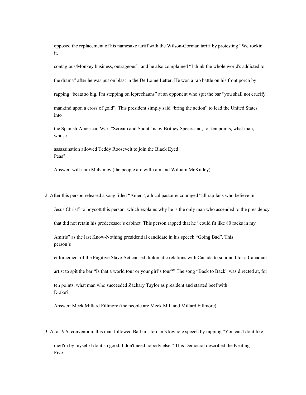opposed the replacement of his namesake tariff with the Wilson-Gorman tariff by protesting "We rockin' it,

contagious/Monkey business, outrageous", and he also complained "I think the whole world's addicted to the drama" after he was put on blast in the De Lome Letter. He won a rap battle on his front porch by rapping "beats so big, I'm stepping on leprechauns" at an opponent who spit the bar "you shall not crucify mankind upon a cross of gold". This president simply said "bring the action" to lead the United States into

the Spanish-American War. "Scream and Shout" is by Britney Spears and, for ten points, what man, whose

assassination allowed Teddy Roosevelt to join the Black Eyed Peas?

Answer: will.i.am McKinley (the people are will.i.am and William McKinley)

2. After this person released a song titled "Amen", a local pastor encouraged "all rap fans who believe in

Jesus Christ" to boycott this person, which explains why he is the only man who ascended to the presidency

that did not retain his predecessor's cabinet. This person rapped that he "could fit like 80 racks in my

Amiris" as the last Know-Nothing presidential candidate in his speech "Going Bad". This person's

enforcement of the Fugitive Slave Act caused diplomatic relations with Canada to sour and for a Canadian

artist to spit the bar "Is that a world tour or your girl's tour?" The song "Back to Back" was directed at, for

ten points, what man who succeeded Zachary Taylor as president and started beef with Drake?

Answer: Meek Millard Fillmore (the people are Meek Mill and Millard Fillmore)

3. At a 1976 convention, this man followed Barbara Jordan's keynote speech by rapping "You can't do it like

me/I'm by myself/I do it so good, I don't need nobody else." This Democrat described the Keating Five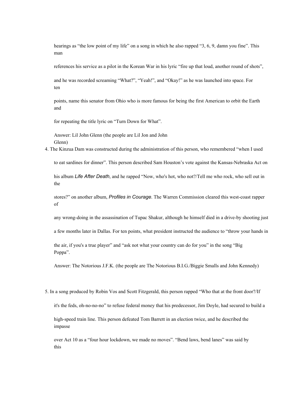hearings as "the low point of my life" on a song in which he also rapped "3, 6, 9, damn you fine". This man

references his service as a pilot in the Korean War in his lyric "fire up that loud, another round of shots",

and he was recorded screaming "What?", "Yeah!", and "Okay!" as he was launched into space. For ten

points, name this senator from Ohio who is more famous for being the first American to orbit the Earth and

for repeating the title lyric on "Turn Down for What".

Answer: Lil John Glenn (the people are Lil Jon and John Glenn)

4. The Kinzua Dam was constructed during the administration of this person, who remembered "when I used

to eat sardines for dinner". This person described Sam Houston's vote against the Kansas-Nebraska Act on

his album *Life After Death*, and he rapped "Now, who's hot, who not?/Tell me who rock, who sell out in the

stores?" on another album, *Profiles in Courage*. The Warren Commission cleared this west-coast rapper of

any wrong-doing in the assassination of Tupac Shakur, although he himself died in a drive-by shooting just

a few months later in Dallas. For ten points, what president instructed the audience to "throw your hands in

the air, if you's a true player" and "ask not what your country can do for you" in the song "Big Poppa".

Answer: The Notorious J.F.K. (the people are The Notorious B.I.G./Biggie Smalls and John Kennedy)

5. In a song produced by Robin Vos and Scott Fitzgerald, this person rapped "Who that at the front door?/If

it's the feds, oh-no-no-no" to refuse federal money that his predecessor, Jim Doyle, had secured to build a

high-speed train line. This person defeated Tom Barrett in an election twice, and he described the impasse

over Act 10 as a "four hour lockdown, we made no moves". "Bend laws, bend lanes" was said by this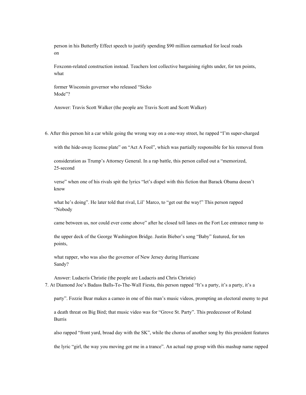person in his Butterfly Effect speech to justify spending \$90 million earmarked for local roads on

Foxconn-related construction instead. Teachers lost collective bargaining rights under, for ten points, what

former Wisconsin governor who released "Sicko Mode"?

Answer: Travis Scott Walker (the people are Travis Scott and Scott Walker)

6. After this person hit a car while going the wrong way on a one-way street, he rapped "I'm super-charged

with the hide-away license plate" on "Act A Fool", which was partially responsible for his removal from

consideration as Trump's Attorney General. In a rap battle, this person called out a "memorized, 25-second

verse" when one of his rivals spit the lyrics "let's dispel with this fiction that Barack Obama doesn't know

what he's doing". He later told that rival, Lil' Marco, to "get out the way!" This person rapped "Nobody

came between us, nor could ever come above" after he closed toll lanes on the Fort Lee entrance ramp to

the upper deck of the George Washington Bridge. Justin Bieber's song "Baby" featured, for ten points,

what rapper, who was also the governor of New Jersey during Hurricane Sandy?

Answer: Ludacris Christie (the people are Ludacris and Chris Christie) 7. At Diamond Joe's Badass Balls-To-The-Wall Fiesta, this person rapped "It's a party, it's a party, it's a

party". Fozzie Bear makes a cameo in one of this man's music videos, prompting an electoral enemy to put

a death threat on Big Bird; that music video was for "Grove St. Party". This predecessor of Roland Burris

also rapped "front yard, broad day with the SK", while the chorus of another song by this president features

the lyric "girl, the way you moving got me in a trance". An actual rap group with this mashup name rapped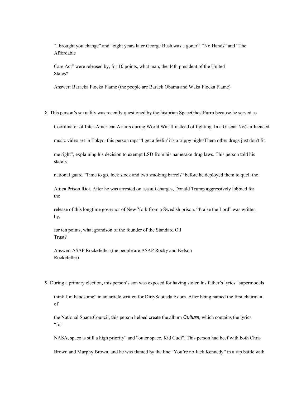"I brought you change" and "eight years later George Bush was a goner". "No Hands" and "The Affordable

Care Act" were released by, for 10 points, what man, the 44th president of the United States?

Answer: Baracka Flocka Flame (the people are Barack Obama and Waka Flocka Flame)

8. This person's sexuality was recently questioned by the historian SpaceGhostPurrp because he served as

Coordinator of Inter-American Affairs during World War II instead of fighting. In a Gaspar Noé-influenced

music video set in Tokyo, this person raps "I get a feelin' it's a trippy night/Them other drugs just don't fit

me right", explaining his decision to exempt LSD from his namesake drug laws. This person told his state's

national guard "Time to go, lock stock and two smoking barrels" before he deployed them to quell the

Attica Prison Riot. After he was arrested on assault charges, Donald Trump aggressively lobbied for the

release of this longtime governor of New York from a Swedish prison. "Praise the Lord" was written by,

for ten points, what grandson of the founder of the Standard Oil Trust?

Answer: A\$AP Rockefeller (the people are A\$AP Rocky and Nelson Rockefeller)

9. During a primary election, this person's son was exposed for having stolen his father's lyrics "supermodels

think I'm handsome" in an article written for DirtyScottsdale.com. After being named the first chairman of

the National Space Council, this person helped create the album *Culture*, which contains the lyrics "for

NASA, space is still a high priority" and "outer space, Kid Cudi". This person had beef with both Chris

Brown and Murphy Brown, and he was flamed by the line "You're no Jack Kennedy" in a rap battle with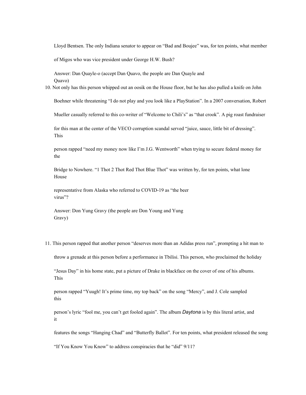Lloyd Bentsen. The only Indiana senator to appear on "Bad and Boujee" was, for ten points, what member

of Migos who was vice president under George H.W. Bush?

Answer: Dan Quayle-o (accept Dan Quavo, the people are Dan Quayle and Quavo)

10. Not only has this person whipped out an oosik on the House floor, but he has also pulled a knife on John

Boehner while threatening "I do not play and you look like a PlayStation". In a 2007 conversation, Robert

Mueller casually referred to this co-writer of "Welcome to Chili's" as "that crook". A pig roast fundraiser

for this man at the center of the VECO corruption scandal served "juice, sauce, little bit of dressing". This

person rapped "need my money now like I'm J.G. Wentworth" when trying to secure federal money for the

Bridge to Nowhere. "1 Thot 2 Thot Red Thot Blue Thot" was written by, for ten points, what lone House

representative from Alaska who referred to COVID-19 as "the beer virus"?

Answer: Don Yung Gravy (the people are Don Young and Yung Gravy)

11. This person rapped that another person "deserves more than an Adidas press run", prompting a hit man to

throw a grenade at this person before a performance in Tbilisi. This person, who proclaimed the holiday

"Jesus Day" in his home state, put a picture of Drake in blackface on the cover of one of his albums. This

person rapped "Yuugh! It's prime time, my top back" on the song "Mercy", and J. Cole sampled this

person's lyric "fool me, you can't get fooled again". The album *Daytona* is by this literal artist, and it

features the songs "Hanging Chad" and "Butterfly Ballot". For ten points, what president released the song

"If You Know You Know" to address conspiracies that he "did" 9/11?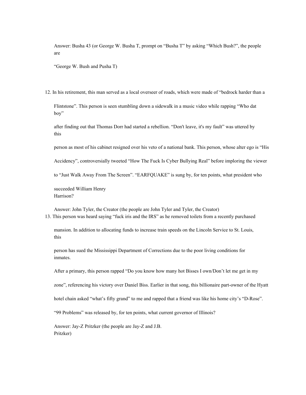Answer: Busha 43 (or George W. Busha T, prompt on "Busha T" by asking "Which Bush?", the people are

"George W. Bush and Pusha T)

12. In his retirement, this man served as a local overseer of roads, which were made of "bedrock harder than a

Flintstone". This person is seen stumbling down a sidewalk in a music video while rapping "Who dat boy"

after finding out that Thomas Dorr had started a rebellion. "Don't leave, it's my fault" was uttered by this

person as most of his cabinet resigned over his veto of a national bank. This person, whose alter ego is "His

Accidency", controversially tweeted "How The Fuck Is Cyber Bullying Real" before imploring the viewer

to "Just Walk Away From The Screen". "EARFQUAKE" is sung by, for ten points, what president who

succeeded William Henry Harrison?

Answer: John Tyler, the Creator (the people are John Tyler and Tyler, the Creator) 13. This person was heard saying "fuck iris and the IRS" as he removed toilets from a recently purchased

mansion. In addition to allocating funds to increase train speeds on the Lincoln Service to St. Louis, this

person has sued the Mississippi Department of Corrections due to the poor living conditions for inmates.

After a primary, this person rapped "Do you know how many hot Bisses I own/Don't let me get in my

zone", referencing his victory over Daniel Biss. Earlier in that song, this billionaire part-owner of the Hyatt

hotel chain asked "what's fifty grand" to me and rapped that a friend was like his home city's "D-Rose".

"99 Problems" was released by, for ten points, what current governor of Illinois?

Answer: Jay-Z Pritzker (the people are Jay-Z and J.B. Pritzker)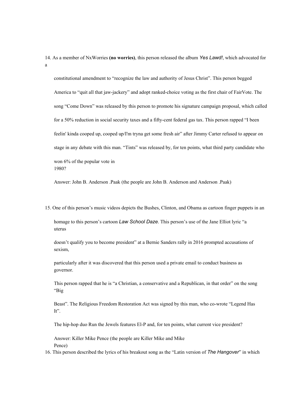14. As a member of NxWorries **(no worries)**, this person released the album *Yes Lawd!*, which advocated for a

constitutional amendment to "recognize the law and authority of Jesus Christ". This person begged America to "quit all that jaw-jackery" and adopt ranked-choice voting as the first chair of FairVote. The song "Come Down" was released by this person to promote his signature campaign proposal, which called for a 50% reduction in social security taxes and a fifty-cent federal gas tax. This person rapped "I been feelin' kinda cooped up, cooped up/I'm tryna get some fresh air" after Jimmy Carter refused to appear on stage in any debate with this man. "Tints" was released by, for ten points, what third party candidate who won 6% of the popular vote in 1980?

Answer: John B. Anderson .Paak (the people are John B. Anderson and Anderson .Paak)

15. One of this person's music videos depicts the Bushes, Clinton, and Obama as cartoon finger puppets in an homage to this person's cartoon *Law School Daze*. This person's use of the Jane Elliot lyric "a uterus

doesn't qualify you to become president" at a Bernie Sanders rally in 2016 prompted accusations of sexism,

particularly after it was discovered that this person used a private email to conduct business as governor.

This person rapped that he is "a Christian, a conservative and a Republican, in that order" on the song "Big

Beast". The Religious Freedom Restoration Act was signed by this man, who co-wrote "Legend Has It".

The hip-hop duo Run the Jewels features El-P and, for ten points, what current vice president?

Answer: Killer Mike Pence (the people are Killer Mike and Mike Pence)

16. This person described the lyrics of his breakout song as the "Latin version of *The Hangover*" in which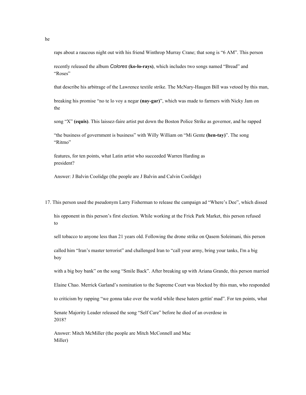raps about a raucous night out with his friend Winthrop Murray Crane; that song is "6 AM". This person

recently released the album *Colores* **(ko-lo-rays)**, which includes two songs named "Bread" and "Roses"

that describe his arbitrage of the Lawrence textile strike. The McNary-Haugen Bill was vetoed by this man,

breaking his promise "no te lo voy a negar **(nay-gar)**", which was made to farmers with Nicky Jam on the

song "X" **(equis)**. This laissez-faire artist put down the Boston Police Strike as governor, and he rapped

"the business of government is business" with Willy William on "Mi Gente **(hen-tay)**". The song "Ritmo"

features, for ten points, what Latin artist who succeeded Warren Harding as president?

Answer: J Balvin Coolidge (the people are J Balvin and Calvin Coolidge)

17. This person used the pseudonym Larry Fisherman to release the campaign ad "Where's Dee", which dissed

his opponent in this person's first election. While working at the Frick Park Market, this person refused to

sell tobacco to anyone less than 21 years old. Following the drone strike on Qasem Soleimani, this person

called him "Iran's master terrorist" and challenged Iran to "call your army, bring your tanks, I'm a big boy

with a big boy bank" on the song "Smile Back". After breaking up with Ariana Grande, this person married

Elaine Chao. Merrick Garland's nomination to the Supreme Court was blocked by this man, who responded

to criticism by rapping "we gonna take over the world while these haters gettin' mad". For ten points, what

Senate Majority Leader released the song "Self Care" before he died of an overdose in 2018?

Answer: Mitch McMiller (the people are Mitch McConnell and Mac Miller)

he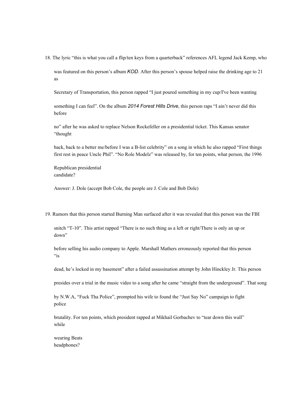18. The lyric "this is what you call a flip/ten keys from a quarterback" references AFL legend Jack Kemp, who

was featured on this person's album *KOD*. After this person's spouse helped raise the drinking age to 21 as

Secretary of Transportation, this person rapped "I just poured something in my cup/I've been wanting

something I can feel". On the album *2014 Forest Hills Drive*, this person raps "I ain't never did this before

no" after he was asked to replace Nelson Rockefeller on a presidential ticket. This Kansas senator "thought

back, back to a better me/before I was a B-list celebrity" on a song in which he also rapped "First things first rest in peace Uncle Phil". "No Role Modelz" was released by, for ten points, what person, the 1996

Republican presidential candidate?

Answer: J. Dole (accept Bob Cole, the people are J. Cole and Bob Dole)

19. Rumors that this person started Burning Man surfaced after it was revealed that this person was the FBI

snitch "T-10". This artist rapped "There is no such thing as a left or right/There is only an up or down"

before selling his audio company to Apple. Marshall Mathers erroneously reported that this person  $\mathbf{a}$  is

dead, he's locked in my basement" after a failed assassination attempt by John Hinckley Jr. This person

presides over a trial in the music video to a song after he came "straight from the underground". That song

by N.W.A, "Fuck Tha Police", prompted his wife to found the "Just Say No" campaign to fight police

brutality. For ten points, which president rapped at Mikhail Gorbachev to "tear down this wall" while

wearing Beats headphones?